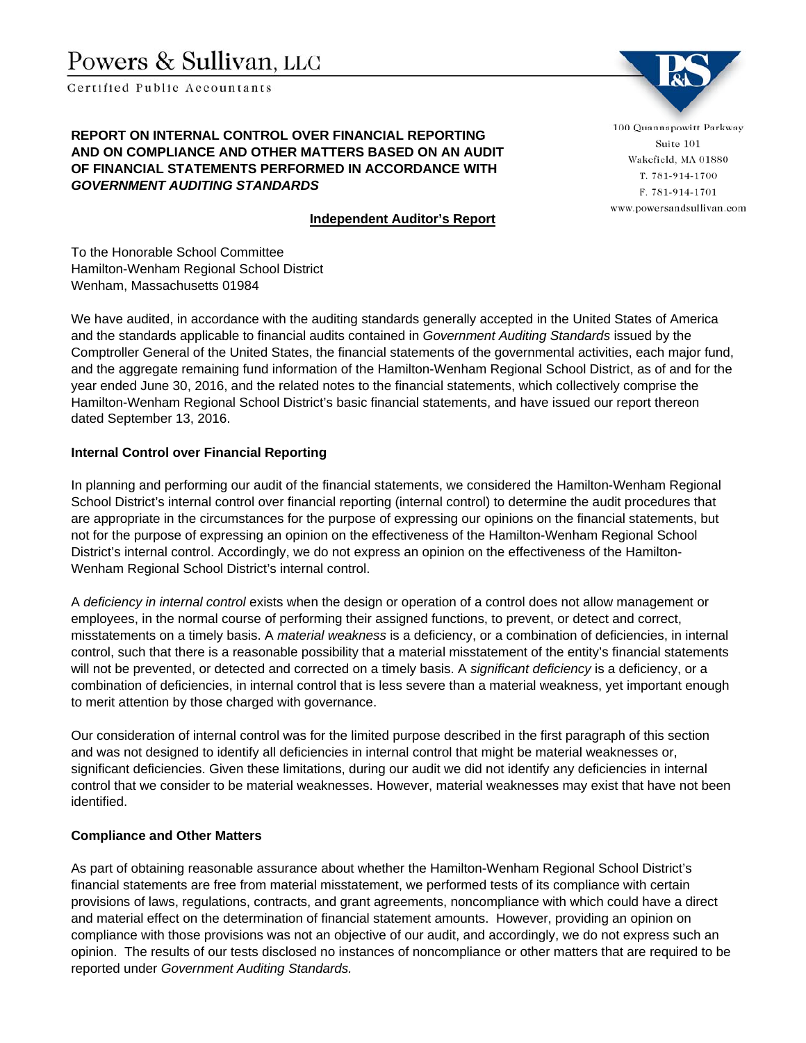# Powers & Sullivan, LLC

Certified Public Accountants

#### **REPORT ON INTERNAL CONTROL OVER FINANCIAL REPORTING AND ON COMPLIANCE AND OTHER MATTERS BASED ON AN AUDIT OF FINANCIAL STATEMENTS PERFORMED IN ACCORDANCE WITH**  *GOVERNMENT AUDITING STANDARDS*

## **Independent Auditor's Report**

100 Quannapowitt Parkway Suite 101 Wakefield, MA 01880 T. 781-914-1700 F. 781-914-1701 www.powersandsullivan.com

To the Honorable School Committee Hamilton-Wenham Regional School District Wenham, Massachusetts 01984

We have audited, in accordance with the auditing standards generally accepted in the United States of America and the standards applicable to financial audits contained in *Government Auditing Standards* issued by the Comptroller General of the United States, the financial statements of the governmental activities, each major fund, and the aggregate remaining fund information of the Hamilton-Wenham Regional School District, as of and for the year ended June 30, 2016, and the related notes to the financial statements, which collectively comprise the Hamilton-Wenham Regional School District's basic financial statements, and have issued our report thereon dated September 13, 2016.

## **Internal Control over Financial Reporting**

In planning and performing our audit of the financial statements, we considered the Hamilton-Wenham Regional School District's internal control over financial reporting (internal control) to determine the audit procedures that are appropriate in the circumstances for the purpose of expressing our opinions on the financial statements, but not for the purpose of expressing an opinion on the effectiveness of the Hamilton-Wenham Regional School District's internal control. Accordingly, we do not express an opinion on the effectiveness of the Hamilton-Wenham Regional School District's internal control.

A *deficiency in internal control* exists when the design or operation of a control does not allow management or employees, in the normal course of performing their assigned functions, to prevent, or detect and correct, misstatements on a timely basis. A *material weakness* is a deficiency, or a combination of deficiencies, in internal control, such that there is a reasonable possibility that a material misstatement of the entity's financial statements will not be prevented, or detected and corrected on a timely basis. A *significant deficiency* is a deficiency, or a combination of deficiencies, in internal control that is less severe than a material weakness, yet important enough to merit attention by those charged with governance.

Our consideration of internal control was for the limited purpose described in the first paragraph of this section and was not designed to identify all deficiencies in internal control that might be material weaknesses or, significant deficiencies. Given these limitations, during our audit we did not identify any deficiencies in internal control that we consider to be material weaknesses. However, material weaknesses may exist that have not been identified.

## **Compliance and Other Matters**

As part of obtaining reasonable assurance about whether the Hamilton-Wenham Regional School District's financial statements are free from material misstatement, we performed tests of its compliance with certain provisions of laws, regulations, contracts, and grant agreements, noncompliance with which could have a direct and material effect on the determination of financial statement amounts. However, providing an opinion on compliance with those provisions was not an objective of our audit, and accordingly, we do not express such an opinion. The results of our tests disclosed no instances of noncompliance or other matters that are required to be reported under *Government Auditing Standards.*